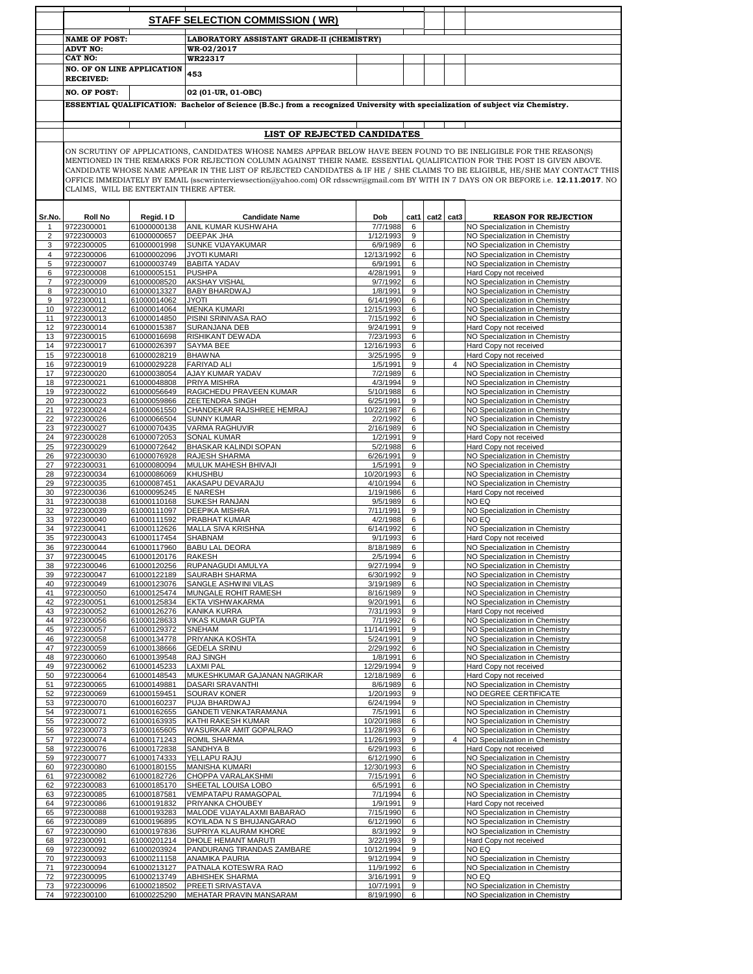|                     | <b>STAFF SELECTION COMMISSION (WR)</b>                |                            |                                                                                                                                       |                          |           |      |                  |                                                                  |
|---------------------|-------------------------------------------------------|----------------------------|---------------------------------------------------------------------------------------------------------------------------------------|--------------------------|-----------|------|------------------|------------------------------------------------------------------|
|                     | <b>NAME OF POST:</b>                                  |                            | LABORATORY ASSISTANT GRADE-II (CHEMISTRY)                                                                                             |                          |           |      |                  |                                                                  |
|                     | <b>ADVT NO:</b>                                       |                            | WR-02/2017                                                                                                                            |                          |           |      |                  |                                                                  |
|                     | CAT NO:                                               |                            | WR22317                                                                                                                               |                          |           |      |                  |                                                                  |
|                     | <b>NO. OF ON LINE APPLICATION</b><br><b>RECEIVED:</b> |                            | 453                                                                                                                                   |                          |           |      |                  |                                                                  |
|                     | <b>NO. OF POST:</b>                                   |                            | 02 (01-UR, 01-OBC)                                                                                                                    |                          |           |      |                  |                                                                  |
|                     |                                                       |                            | ESSENTIAL QUALIFICATION: Bachelor of Science (B.Sc.) from a recognized University with specialization of subject viz Chemistry.       |                          |           |      |                  |                                                                  |
|                     |                                                       |                            |                                                                                                                                       |                          |           |      |                  |                                                                  |
|                     |                                                       |                            | LIST OF REJECTED CANDIDATES                                                                                                           |                          |           |      |                  |                                                                  |
|                     |                                                       |                            | ON SCRUTINY OF APPLICATIONS, CANDIDATES WHOSE NAMES APPEAR BELOW HAVE BEEN FOUND TO BE INELIGIBLE FOR THE REASON(S)                   |                          |           |      |                  |                                                                  |
|                     |                                                       |                            | MENTIONED IN THE REMARKS FOR REJECTION COLUMN AGAINST THEIR NAME. ESSENTIAL QUALIFICATION FOR THE POST IS GIVEN ABOVE.                |                          |           |      |                  |                                                                  |
|                     |                                                       |                            | CANDIDATE WHOSE NAME APPEAR IN THE LIST OF REJECTED CANDIDATES & IF HE / SHE CLAIMS TO BE ELIGIBLE, HE/SHE MAY CONTACT THIS           |                          |           |      |                  |                                                                  |
|                     | CLAIMS, WILL BE ENTERTAIN THERE AFTER.                |                            | OFFICE IMMEDIATELY BY EMAIL (sscwrinterviewsection@yahoo.com) OR rdsscwr@gmail.com BY WITH IN 7 DAYS ON OR BEFORE i.e. 12.11.2017. NO |                          |           |      |                  |                                                                  |
|                     |                                                       |                            |                                                                                                                                       |                          |           |      |                  |                                                                  |
| Sr.No.              | <b>Roll No</b><br>9722300001                          | Regid. I D<br>61000000138  | <b>Candidate Name</b><br>ANIL KUMAR KUSHWAHA                                                                                          | Dob<br>7/7/1988          | cat1<br>6 | cat2 | cat <sub>3</sub> | <b>REASON FOR REJECTION</b><br>NO Specialization in Chemistry    |
| 1<br>$\overline{2}$ | 9722300003                                            | 61000000657                | <b>DEEPAK JHA</b>                                                                                                                     | 1/12/1993                | 9         |      |                  | NO Specialization in Chemistry                                   |
| 3                   | 9722300005                                            | 61000001998                | SUNKE VIJAYAKUMAR                                                                                                                     | 6/9/1989                 | 6         |      |                  | NO Specialization in Chemistry                                   |
| 4                   | 9722300006                                            | 61000002096                | <b>JYOTI KUMARI</b>                                                                                                                   | 12/13/1992               | 6         |      |                  | NO Specialization in Chemistry                                   |
| 5                   | 9722300007                                            | 61000003749                | <b>BABITA YADAV</b>                                                                                                                   | 6/9/1991                 | 6         |      |                  | NO Specialization in Chemistry                                   |
| 6<br>7              | 9722300008<br>9722300009                              | 61000005151<br>61000008520 | <b>PUSHPA</b><br><b>AKSHAY VISHAL</b>                                                                                                 | 4/28/1991<br>9/7/1992    | 9<br>6    |      |                  | Hard Copy not received<br>NO Specialization in Chemistry         |
| 8                   | 9722300010                                            | 61000013327                | BABY BHARDWAJ                                                                                                                         | 1/8/1991                 | 9         |      |                  | NO Specialization in Chemistry                                   |
| 9                   | 9722300011                                            | 61000014062                | <b>ITOYL</b>                                                                                                                          | 6/14/1990                | 6         |      |                  | NO Specialization in Chemistry                                   |
| 10                  | 9722300012                                            | 61000014064                | <b>MENKA KUMARI</b>                                                                                                                   | 12/15/1993               | 6         |      |                  | NO Specialization in Chemistry                                   |
| 11                  | 9722300013                                            | 61000014850                | PISINI SRINIVASA RAO                                                                                                                  | 7/15/1992                | 6         |      |                  | NO Specialization in Chemistry                                   |
| 12                  | 9722300014                                            | 61000015387                | SURANJANA DEB                                                                                                                         | 9/24/1991                | 9         |      |                  | Hard Copy not received                                           |
| 13                  | 9722300015                                            | 61000016698                | RISHIKANT DEWADA<br>SAYMA BEE                                                                                                         | 7/23/1993                | 6         |      |                  | NO Specialization in Chemistry                                   |
| 14<br>15            | 9722300017<br>9722300018                              | 61000026397<br>61000028219 | <b>BHAWNA</b>                                                                                                                         | 12/16/1993<br>3/25/1995  | 6<br>9    |      |                  | Hard Copy not received<br>Hard Copy not received                 |
| 16                  | 9722300019                                            | 61000029228                | <b>FARIYAD ALI</b>                                                                                                                    | 1/5/1991                 | 9         |      | $\overline{4}$   | NO Specialization in Chemistry                                   |
| 17                  | 9722300020                                            | 61000038054                | AJAY KUMAR YADAV                                                                                                                      | 7/2/1989                 | 6         |      |                  | NO Specialization in Chemistry                                   |
| 18                  | 9722300021                                            | 61000048808                | PRIYA MISHRA                                                                                                                          | 4/3/1994                 | 9         |      |                  | NO Specialization in Chemistry                                   |
| 19                  | 9722300022                                            | 61000056649                | RAGICHEDU PRAVEEN KUMAR                                                                                                               | 5/10/1988                | 6         |      |                  | NO Specialization in Chemistry                                   |
| 20                  | 9722300023                                            | 61000059866                | ZEETENDRA SINGH                                                                                                                       | 6/25/1991                | 9         |      |                  | NO Specialization in Chemistry                                   |
| 21<br>22            | 9722300024<br>9722300026                              | 61000061550<br>61000066504 | CHANDEKAR RAJSHREE HEMRAJ<br><b>SUNNY KUMAR</b>                                                                                       | 10/22/1987<br>2/2/1992   | 6<br>6    |      |                  | NO Specialization in Chemistry<br>NO Specialization in Chemistry |
| 23                  | 9722300027                                            | 61000070435                | VARMA RAGHUVIR                                                                                                                        | 2/16/1989                | 6         |      |                  | NO Specialization in Chemistry                                   |
| 24                  | 9722300028                                            | 61000072053                | SONAL KUMAR                                                                                                                           | 1/2/1991                 | 9         |      |                  | Hard Copy not received                                           |
| 25                  | 9722300029                                            | 61000072642                | BHASKAR KALINDI SOPAN                                                                                                                 | 5/2/1988                 | 6         |      |                  | Hard Copy not received                                           |
| 26                  | 9722300030                                            | 61000076928                | RAJESH SHARMA                                                                                                                         | 6/26/1991                | 9         |      |                  | NO Specialization in Chemistry                                   |
| 27                  | 9722300031<br>9722300034                              | 61000080094<br>61000086069 | MULUK MAHESH BHIVAJI                                                                                                                  | 1/5/1991<br>10/20/1993   | 9<br>6    |      |                  | NO Specialization in Chemistry                                   |
| 28<br>29            | 9722300035                                            | 61000087451                | KHUSHBU<br>AKASAPU DEVARAJU                                                                                                           | 4/10/1994                | 6         |      |                  | NO Specialization in Chemistry<br>NO Specialization in Chemistry |
| 30                  | 9722300036                                            | 61000095245                | E NARESH                                                                                                                              | 1/19/1986                | 6         |      |                  | Hard Copy not received                                           |
| 31                  | 9722300038                                            | 61000110168                | SUKESH RANJAN                                                                                                                         | 9/5/1989                 | 6         |      |                  | NO EQ                                                            |
| 32                  | 9722300039                                            | 61000111097                | DEEPIKA MISHRA                                                                                                                        | 7/11/1991                | 9         |      |                  | NO Specialization in Chemistry                                   |
| 33                  | 9722300040                                            | 61000111592                | PRABHAT KUMAR                                                                                                                         | 4/2/1988                 | 6         |      |                  | NO EQ                                                            |
| 34<br>35            | 9722300041<br>9722300043                              | 61000112626<br>61000117454 | MALLA SIVA KRISHNA<br>SHABNAM                                                                                                         | 6/14/1992<br>9/1/1993    | 6<br>6    |      |                  | NO Specialization in Chemistry<br>Hard Copy not received         |
| 36                  | 9722300044                                            | 61000117960                | <b>BABU LAL DEORA</b>                                                                                                                 | 8/18/1989                | 6         |      |                  | NO Specialization in Chemistry                                   |
| 37                  | 9722300045                                            | 61000120176                | RAKESH                                                                                                                                | 2/5/1994                 | 6         |      |                  | NO Specialization in Chemistry                                   |
| 38                  | 9722300046                                            | 61000120256                | RUPANAGUDI AMULYA                                                                                                                     | 9/27/1994                | 9         |      |                  | NO Specialization in Chemistry                                   |
| 39                  | 9722300047                                            | 61000122189                | SAURABH SHARMA                                                                                                                        | 6/30/1992                | 9         |      |                  | NO Specialization in Chemistry                                   |
| 40                  | 9722300049                                            | 61000123076                | SANGLE ASHWINI VILAS                                                                                                                  | 3/19/1989                | 6         |      |                  | NO Specialization in Chemistry                                   |
| 41                  | 9722300050<br>9722300051                              | 61000125474                | MUNGALE ROHIT RAMESH<br>EKTA VISHWAKARMA                                                                                              | 8/16/1989<br>9/20/1991   | 9<br>6    |      |                  | NO Specialization in Chemistry<br>NO Specialization in Chemistry |
| 42<br>43            | 9722300052                                            | 61000125834<br>61000126276 | <b>KANIKA KURRA</b>                                                                                                                   | 7/31/1993                | 9         |      |                  | Hard Copy not received                                           |
| 44                  | 9722300056                                            | 61000128633                | <b>VIKAS KUMAR GUPTA</b>                                                                                                              | 7/1/1992                 | 6         |      |                  | NO Specialization in Chemistry                                   |
| 45                  | 9722300057                                            | 61000129372                | SNEHAM                                                                                                                                | 11/14/1991               | 9         |      |                  | NO Specialization in Chemistry                                   |
| 46                  | 9722300058                                            | 61000134778                | PRIYANKA KOSHTA                                                                                                                       | 5/24/1991                | 9         |      |                  | NO Specialization in Chemistry                                   |
| 47                  | 9722300059                                            | 61000138666                | <b>GEDELA SRINU</b>                                                                                                                   | 2/29/1992                | 6         |      |                  | NO Specialization in Chemistry                                   |
| 48<br>49            | 9722300060<br>9722300062                              | 61000139548<br>61000145233 | RAJ SINGH<br><b>LAXMI PAL</b>                                                                                                         | 1/8/1991<br>12/29/1994   | 6<br>9    |      |                  | NO Specialization in Chemistry<br>Hard Copy not received         |
| 50                  | 9722300064                                            | 61000148543                | MUKESHKUMAR GAJANAN NAGRIKAR                                                                                                          | 12/18/1989               | 6         |      |                  | Hard Copy not received                                           |
| 51                  | 9722300065                                            | 61000149881                | DASARI SRAVANTHI                                                                                                                      | 8/6/1989                 | 6         |      |                  | NO Specialization in Chemistry                                   |
| 52                  | 9722300069                                            | 61000159451                | SOURAV KONER                                                                                                                          | 1/20/1993                | 9         |      |                  | NO DEGREE CERTIFICATE                                            |
| 53                  | 9722300070                                            | 61000160237                | PUJA BHARDWAJ                                                                                                                         | 6/24/1994                | 9         |      |                  | NO Specialization in Chemistry                                   |
| 54                  | 9722300071                                            | 61000162655                | GANDETI VENKATARAMANA                                                                                                                 | 7/5/1991                 | 6         |      |                  | NO Specialization in Chemistry                                   |
| 55<br>56            | 9722300072<br>9722300073                              | 61000163935<br>61000165605 | KATHI RAKESH KUMAR<br>WASURKAR AMIT GOPALRAO                                                                                          | 10/20/1988<br>11/28/1993 | 6<br>6    |      |                  | NO Specialization in Chemistry<br>NO Specialization in Chemistry |
| 57                  | 9722300074                                            | 61000171243                | ROMIL SHARMA                                                                                                                          | 11/26/1993               | 9         |      | $\overline{4}$   | NO Specialization in Chemistry                                   |
| 58                  | 9722300076                                            | 61000172838                | SANDHYA B                                                                                                                             | 6/29/1993                | 6         |      |                  | Hard Copy not received                                           |
| 59                  | 9722300077                                            | 61000174333                | YELLAPU RAJU                                                                                                                          | 6/12/1990                | 6         |      |                  | NO Specialization in Chemistry                                   |
| 60                  | 9722300080                                            | 61000180155                | MANISHA KUMARI                                                                                                                        | 12/30/1993               | 6         |      |                  | NO Specialization in Chemistry                                   |
| 61                  | 9722300082                                            | 61000182726                | CHOPPA VARALAKSHMI                                                                                                                    | 7/15/1991                | 6         |      |                  | NO Specialization in Chemistry                                   |
| 62<br>63            | 9722300083<br>9722300085                              | 61000185170<br>61000187581 | SHEETAL LOUISA LOBO<br><b>VEMPATAPU RAMAGOPAL</b>                                                                                     | 6/5/1991<br>7/1/1994     | 6<br>6    |      |                  | NO Specialization in Chemistry<br>NO Specialization in Chemistry |
| 64                  | 9722300086                                            | 61000191832                | PRIYANKA CHOUBEY                                                                                                                      | 1/9/1991                 | 9         |      |                  | Hard Copy not received                                           |
| 65                  | 9722300088                                            | 61000193283                | MALODE VIJAYALAXMI BABARAO                                                                                                            | 7/15/1990                | 6         |      |                  | NO Specialization in Chemistry                                   |
| 66                  | 9722300089                                            | 61000196895                | KOYILADA N S BHUJANGARAO                                                                                                              | 6/12/1990                | 6         |      |                  | NO Specialization in Chemistry                                   |
| 67                  | 9722300090                                            | 61000197836                | SUPRIYA KLAURAM KHORE                                                                                                                 | 8/3/1992                 | 9         |      |                  | NO Specialization in Chemistry                                   |
| 68                  | 9722300091                                            | 61000201214                | DHOLE HEMANT MARUTI                                                                                                                   | 3/22/1993                | 9         |      |                  | Hard Copy not received                                           |
| 69                  | 9722300092<br>9722300093                              | 61000203924<br>61000211158 | PANDURANG TIRANDAS ZAMBARE<br>ANAMIKA PAURIA                                                                                          | 10/12/1994<br>9/12/1994  | 9<br>9    |      |                  | NO EQ<br>NO Specialization in Chemistry                          |
| 70<br>71            | 9722300094                                            | 61000213127                | PATNALA KOTESWRA RAO                                                                                                                  | 11/9/1992                | 6         |      |                  | NO Specialization in Chemistry                                   |
| 72                  | 9722300095                                            | 61000213749                | ABHISHEK SHARMA                                                                                                                       | 3/16/1991                | 9         |      |                  | NO EQ                                                            |
| 73                  | 9722300096                                            | 61000218502                | PREETI SRIVASTAVA                                                                                                                     | 10/7/1991                | 9         |      |                  | NO Specialization in Chemistry                                   |
| 74                  | 9722300100                                            | 61000225290                | MEHATAR PRAVIN MANSARAM                                                                                                               | 8/19/1990                | 6         |      |                  | NO Specialization in Chemistry                                   |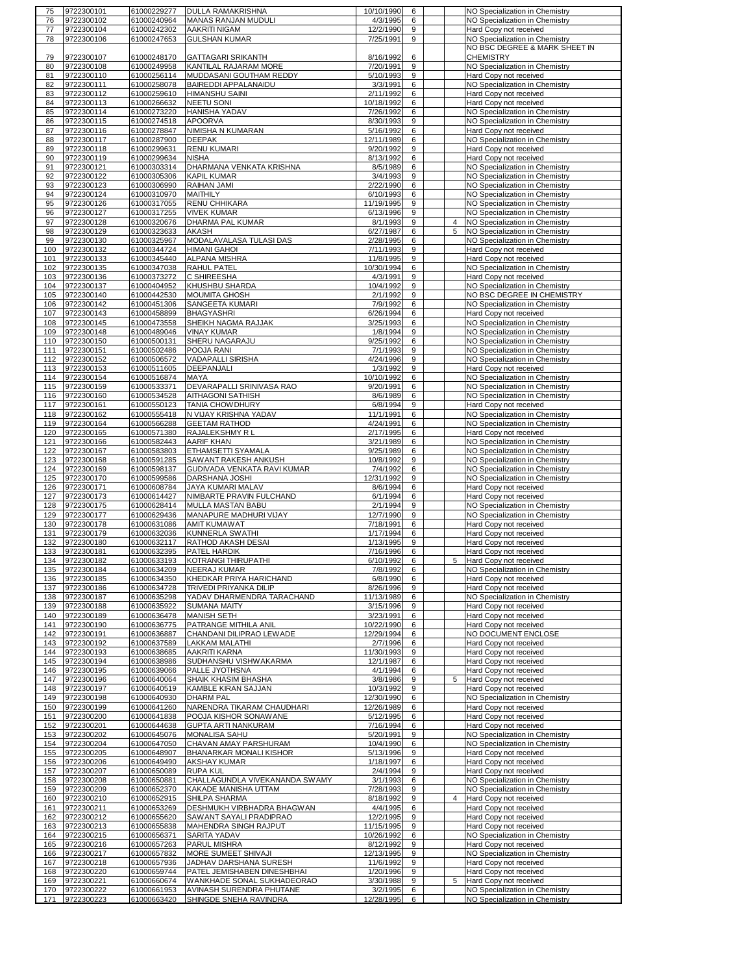| 75         | 9722300101               | 61000229277                | DULLA RAMAKRISHNA                                  | 10/10/1990             | 6      |   | NO Specialization in Chemistry                                   |
|------------|--------------------------|----------------------------|----------------------------------------------------|------------------------|--------|---|------------------------------------------------------------------|
| 76         | 9722300102               | 61000240964                | <b>MANAS RANJAN MUDULI</b>                         | 4/3/1995               | 6      |   | NO Specialization in Chemistry                                   |
| 77         | 9722300104               | 61000242302                | AAKRITI NIGAM                                      | 12/2/1990              | 9      |   | Hard Copy not received                                           |
| 78         | 9722300106               | 61000247653                | <b>GULSHAN KUMAR</b>                               | 7/25/1991              | 9      |   | NO Specialization in Chemistry                                   |
|            |                          |                            |                                                    |                        |        |   | NO BSC DEGREE & MARK SHEET IN                                    |
|            |                          |                            |                                                    |                        |        |   |                                                                  |
| 79         | 9722300107               | 61000248170                | <b>GATTAGARI SRIKANTH</b>                          | 8/16/1992              | 6      |   | <b>CHEMISTRY</b>                                                 |
| 80         | 9722300108               | 61000249958                | KANTILAL RAJARAM MORE                              | 7/20/1991              | 9      |   | NO Specialization in Chemistry                                   |
| 81         | 9722300110               | 61000256114                | MUDDASANI GOUTHAM REDDY                            | 5/10/1993              | 9      |   | Hard Copy not received                                           |
| 82         | 9722300111               | 61000258078                | BAIREDDI APPALANAIDU                               | 3/3/1991               | 6      |   | NO Specialization in Chemistry                                   |
| 83         | 9722300112               | 61000259610                | HIMANSHU SAINI                                     | 2/11/1992              | 6      |   | Hard Copy not received                                           |
| 84         | 9722300113               | 61000266632                | <b>NEETU SONI</b>                                  | 10/18/1992             | 6      |   | Hard Copy not received                                           |
|            |                          |                            |                                                    |                        |        |   |                                                                  |
| 85         | 9722300114               | 61000273220                | HANISHA YADAV                                      | 7/26/1992              | 6      |   | NO Specialization in Chemistry                                   |
| 86         | 9722300115               | 61000274518                | <b>APOORVA</b>                                     | 8/30/1993              | 9      |   | NO Specialization in Chemistry                                   |
| 87         | 9722300116               | 61000278847                | NIMISHA N KUMARAN                                  | 5/16/1992              | 6      |   | Hard Copy not received                                           |
| 88         | 9722300117               | 61000287900                | <b>DEEPAK</b>                                      | 12/11/1989             | 6      |   | NO Specialization in Chemistry                                   |
| 89         | 9722300118               | 61000299631                | <b>RENU KUMARI</b>                                 | 9/20/1992              | 9      |   | Hard Copy not received                                           |
| 90         | 9722300119               | 61000299634                | <b>NISHA</b>                                       | 8/13/1992              | 6      |   | Hard Copy not received                                           |
|            |                          |                            |                                                    |                        |        |   |                                                                  |
| 91         | 9722300121               | 61000303314                | DHARMANA VENKATA KRISHNA                           | 8/5/1989               | 6      |   | NO Specialization in Chemistry                                   |
| 92         | 9722300122               | 61000305306                | <b>KAPIL KUMAR</b>                                 | 3/4/1993               | 9      |   | NO Specialization in Chemistry                                   |
| 93         | 9722300123               | 61000306990                | RAIHAN JAMI                                        | 2/22/1990              | 6      |   | NO Specialization in Chemistry                                   |
| 94         | 9722300124               | 61000310970                | MAITHILY                                           | 6/10/1993              | 6      |   | NO Specialization in Chemistry                                   |
| 95         | 9722300126               | 61000317055                | RENU CHHIKARA                                      | 11/19/1995             | 9      |   | NO Specialization in Chemistry                                   |
| 96         | 9722300127               | 61000317255                | <b>VIVEK KUMAR</b>                                 | 6/13/1996              | 9      |   | NO Specialization in Chemistry                                   |
| 97         | 9722300128               | 61000320676                | DHARMA PAL KUMAR                                   | 8/1/1993               | 9      | 4 | NO Specialization in Chemistry                                   |
|            |                          |                            |                                                    |                        |        |   |                                                                  |
| 98         | 9722300129               | 61000323633                | AKASH                                              | 6/27/1987              | 6      | 5 | NO Specialization in Chemistry                                   |
| 99         | 9722300130               | 61000325967                | MODALAVALASA TULASI DAS                            | 2/28/1995              | 6      |   | NO Specialization in Chemistry                                   |
| 100        | 9722300132               | 61000344724                | <b>HIMANI GAHOI</b>                                | 7/11/1993              | 9      |   | Hard Copy not received                                           |
| 101        | 9722300133               | 61000345440                | ALPANA MISHRA                                      | 11/8/1995              | 9      |   | Hard Copy not received                                           |
| 102        | 9722300135               | 61000347038                | RAHUL PATEL                                        | 10/30/1994             | 6      |   | NO Specialization in Chemistry                                   |
| 103        | 9722300136               | 61000373272                | C SHIREESHA                                        | 4/3/1991               | 9      |   | Hard Copy not received                                           |
|            |                          |                            |                                                    |                        |        |   |                                                                  |
| 104        | 9722300137               | 61000404952                | KHUSHBU SHARDA                                     | 10/4/1992              | 9      |   | NO Specialization in Chemistry                                   |
| 105        | 9722300140               | 61000442530                | MOUMITA GHOSH                                      | 2/1/1992               | 9      |   | NO BSC DEGREE IN CHEMISTRY                                       |
| 106        | 9722300142               | 61000451306                | SANGEETA KUMARI                                    | 7/9/1992               | 6      |   | NO Specialization in Chemistry                                   |
| 107        | 9722300143               | 61000458899                | <b>BHAGYASHRI</b>                                  | 6/26/1994              | 6      |   | Hard Copy not received                                           |
| 108        | 9722300145               | 61000473558                | SHEIKH NAGMA RAJJAK                                | 3/25/1993              | 6      |   | NO Specialization in Chemistry                                   |
| 109        | 9722300148               | 61000489046                | <b>VINAY KUMAR</b>                                 | 1/8/1994               | 9      |   | NO Specialization in Chemistry                                   |
| 110        | 9722300150               |                            | SHERU NAGARAJU                                     | 9/25/1992              | 6      |   | NO Specialization in Chemistry                                   |
|            |                          | 61000500131                |                                                    |                        |        |   |                                                                  |
| 111        | 9722300151               | 61000502486                | POOJA RANI                                         | 7/1/1993               | 9      |   | NO Specialization in Chemistry                                   |
| 112        | 9722300152               | 61000506572                | VADAPALLI SIRISHA                                  | 4/24/1996              | 9      |   | NO Specialization in Chemistry                                   |
| 113        | 9722300153               | 61000511605                | DEEPANJALI                                         | 1/3/1992               | 9      |   | Hard Copy not received                                           |
| 114        | 9722300154               | 61000516874                | MAYA                                               | 10/10/1992             | 6      |   | NO Specialization in Chemistry                                   |
| 115        | 9722300159               | 61000533371                | DEVARAPALLI SRINIVASA RAO                          | 9/20/1991              | 6      |   | NO Specialization in Chemistry                                   |
| 116        | 9722300160               | 61000534528                | AITHAGONI SATHISH                                  | 8/6/1989               | 6      |   | NO Specialization in Chemistry                                   |
|            |                          |                            |                                                    |                        |        |   |                                                                  |
| 117        | 9722300161               | 61000550123                | TANIA CHOWDHURY                                    | 6/8/1994               | 9      |   | Hard Copy not received                                           |
| 118        | 9722300162               | 61000555418                | N VIJAY KRISHNA YADAV                              | 11/1/1991              | 6      |   | NO Specialization in Chemistry                                   |
| 119        | 9722300164               | 61000566288                | <b>GEETAM RATHOD</b>                               | 4/24/1991              | 6      |   | NO Specialization in Chemistry                                   |
| 120        | 9722300165               | 61000571380                | RAJALEKSHMY R L                                    | 2/17/1995              | 6      |   | Hard Copy not received                                           |
| 121        | 9722300166               | 61000582443                | AARIF KHAN                                         | 3/21/1989              | 6      |   | NO Specialization in Chemistry                                   |
| 122        | 9722300167               | 61000583803                | ETHAMSETTI SYAMALA                                 | 9/25/1989              | 6      |   | NO Specialization in Chemistry                                   |
|            |                          |                            |                                                    |                        | 9      |   |                                                                  |
| 123        | 9722300168               | 61000591285                | SAWANT RAKESH ANKUSH                               | 10/8/1992              |        |   | NO Specialization in Chemistry                                   |
| 124        | 9722300169               | 61000598137                | GUDIVADA VENKATA RAVI KUMAR                        | 7/4/1992               | 6      |   | NO Specialization in Chemistry                                   |
| 125        | 9722300170               | 61000599586                | DARSHANA JOSHI                                     | 12/31/1992             | 9      |   | NO Specialization in Chemistry                                   |
| 126        | 9722300171               | 61000608784                | JAYA KUMARI MALAV                                  | 8/6/1994               | 6      |   | Hard Copy not received                                           |
| 127        | 9722300173               | 61000614427                | NIMBARTE PRAVIN FULCHAND                           | 6/1/1994               | 6      |   | Hard Copy not received                                           |
| 128        | 9722300175               | 61000628414                | MULLA MASTAN BABU                                  | 2/1/1994               | 9      |   | NO Specialization in Chemistry                                   |
| 129        | 9722300177               | 61000629436                | MANAPURE MADHURI VIJAY                             | 12/7/1990              | 9      |   | NO Specialization in Chemistry                                   |
|            |                          |                            |                                                    |                        |        |   |                                                                  |
| 130        | 9722300178               | 61000631086                | <b>AMIT KUMAWAT</b>                                | 7/18/1991              | 6      |   | Hard Copy not received                                           |
| 131        | 9722300179               | 61000632036                | KUNNERLA SWATHI                                    | 1/17/1994              | 6      |   | Hard Copy not received                                           |
| 132        | 9722300180               | 61000632117                | RATHOD AKASH DESAI                                 | 1/13/1995              | 9      |   | Hard Copy not received                                           |
| 133        | 9722300181               | 61000632395                | PATEL HARDIK                                       | 7/16/1996              | 6      |   | Hard Copy not received                                           |
| 134        | 9722300182               | 61000633193                | KOTRANGI THIRUPATHI                                | 6/10/1992              | 6      |   | Hard Copy not received                                           |
|            |                          | 61000634209                |                                                    | 7/8/1992               |        |   |                                                                  |
| 135        | 9722300184               |                            | <b>NEERAJ KUMAR</b>                                |                        | 6      |   | NO Specialization in Chemistry                                   |
| 136        | 9722300185               | 61000634350                | KHEDKAR PRIYA HARICHAND                            | 6/8/1990               | 6      |   | Hard Copy not received                                           |
| 137        | 9722300186               | 61000634728                | TRIVEDI PRIYANKA DILIP                             | 8/26/1996              | 9      |   | Hard Copy not received                                           |
| 138        | 9722300187               | 61000635298                | YADAV DHARMENDRA TARACHAND                         | 11/13/1989             | 6      |   | NO Specialization in Chemistry                                   |
| 139        | 9722300188               | 61000635922                | <b>SUMANA MAITY</b>                                | 3/15/1996              | 9      |   | Hard Copy not received                                           |
| 140        | 9722300189               | 61000636478                | <b>MANISH SETH</b>                                 | 3/23/1991              | 6      |   | Hard Copy not received                                           |
| 141        | 9722300190               | 61000636775                | PATRANGE MITHILA ANIL                              | 10/22/1990             | 6      |   | Hard Copy not received                                           |
| 142        |                          | 61000636887                |                                                    |                        |        |   |                                                                  |
|            | 9722300191               |                            | CHANDANI DILIPRAO LEWADE                           | 12/29/1994             | 6      |   | NO DOCUMENT ENCLOSE                                              |
| 143        | 9722300192               | 61000637589                | LAKKAM MALATHI                                     | 2/7/1996               | 6      |   | Hard Copy not received                                           |
| 144        | 9722300193               | 61000638685                | AAKRITI KARNA                                      | 11/30/1993             | 9      |   | Hard Copy not received                                           |
| 145        | 9722300194               | 61000638986                | SUDHANSHU VISHWAKARMA                              | 12/1/1987              | 6      |   | Hard Copy not received                                           |
| 146        | 9722300195               | 61000639066                | PALLE JYOTHSNA                                     | 4/1/1994               | 6      |   | Hard Copy not received                                           |
| 147        | 9722300196               | 61000640064                | SHAIK KHASIM BHASHA                                | 3/8/1986               | 9      | 5 | Hard Copy not received                                           |
| 148        | 9722300197               | 61000640519                | KAMBLE KIRAN SAJJAN                                | 10/3/1992              | 9      |   | Hard Copy not received                                           |
|            |                          |                            | <b>DHARM PAL</b>                                   |                        | 6      |   |                                                                  |
| 149        | 9722300198               | 61000640930                |                                                    | 12/30/1990             |        |   | NO Specialization in Chemistry                                   |
| 150        | 9722300199               | 61000641260                | NARENDRA TIKARAM CHAUDHARI                         | 12/26/1989             | 6      |   | Hard Copy not received                                           |
| 151        | 9722300200               | 61000641838                | POOJA KISHOR SONAWANE                              | 5/12/1995              | 6      |   | Hard Copy not received                                           |
| 152        | 9722300201               | 61000644638                | GUPTA ARTI NANKURAM                                | 7/16/1994              | 6      |   | Hard Copy not received                                           |
| 153        | 9722300202               | 61000645076                | MONALISA SAHU                                      | 5/20/1991              | 9      |   | NO Specialization in Chemistry                                   |
| 154        | 9722300204               | 61000647050                | CHAVAN AMAY PARSHURAM                              | 10/4/1990              | 6      |   | NO Specialization in Chemistry                                   |
|            | 9722300205               | 61000648907                | BHANARKAR MONALI KISHOR                            | 5/13/1996              | 9      |   | Hard Copy not received                                           |
| 155        |                          |                            |                                                    |                        |        |   |                                                                  |
| 156        | 9722300206               | 61000649490                | AKSHAY KUMAR                                       | 1/18/1997              | 6      |   | Hard Copy not received                                           |
| 157        | 9722300207               | 61000650089                | <b>RUPA KUL</b>                                    | 2/4/1994               | 9      |   | Hard Copy not received                                           |
| 158        | 9722300208               | 61000650881                | CHALLAGUNDLA VIVEKANANDA SWAMY                     | 3/1/1993               | 6      |   | NO Specialization in Chemistry                                   |
| 159        | 9722300209               | 61000652370                | KAKADE MANISHA UTTAM                               | 7/28/1993              | 9      |   | NO Specialization in Chemistry                                   |
| 160        | 9722300210               | 61000652915                | SHILPA SHARMA                                      | 8/18/1992              | 9      | 4 | Hard Copy not received                                           |
| 161        | 9722300211               | 61000653269                | DESHMUKH VIRBHADRA BHAGWAN                         | 4/4/1995               | 6      |   | Hard Copy not received                                           |
|            |                          |                            |                                                    |                        |        |   |                                                                  |
| 162        | 9722300212               | 61000655620                | SAWANT SAYALI PRADIPRAO                            | 12/2/1995              | 9      |   | Hard Copy not received                                           |
|            | 9722300213               | 61000655838                | MAHENDRA SINGH RAJPUT                              | 11/15/1995             | 9      |   | Hard Copy not received                                           |
| 163        |                          | 61000656371                | SARITA YADAV                                       | 10/26/1992             | 6      |   | NO Specialization in Chemistry                                   |
| 164        | 9722300215               |                            |                                                    |                        |        |   |                                                                  |
| 165        | 9722300216               | 61000657263                | PARUL MISHRA                                       | 8/12/1992              | 9      |   | Hard Copy not received                                           |
|            |                          |                            |                                                    |                        |        |   |                                                                  |
| 166        | 9722300217               | 61000657832                | MORE SUMEET SHIVAJI                                | 12/13/1995             | 9      |   | NO Specialization in Chemistry                                   |
| 167        | 9722300218               | 61000657936                | JADHAV DARSHANA SURESH                             | 11/6/1992              | 9      |   | Hard Copy not received                                           |
| 168        | 9722300220               | 61000659744                | PATEL JEMISHABEN DINESHBHAI                        | 1/20/1996              | 9      |   | Hard Copy not received                                           |
| 169        | 9722300221               | 61000660674                | WANKHADE SONAL SUKHADEORAO                         | 3/30/1988              | 9      | 5 | Hard Copy not received                                           |
| 170<br>171 | 9722300222<br>9722300223 | 61000661953<br>61000663420 | AVINASH SURENDRA PHUTANE<br>SHINGDE SNEHA RAVINDRA | 3/2/1995<br>12/28/1995 | 6<br>6 |   | NO Specialization in Chemistry<br>NO Specialization in Chemistry |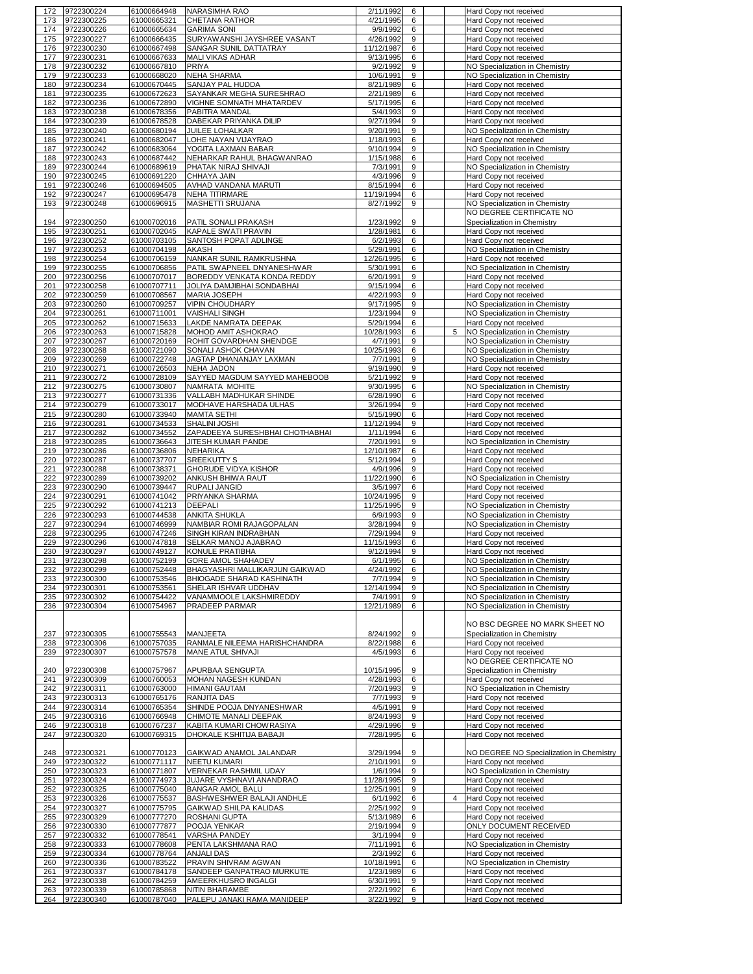| 172 | 9722300224     | 61000664948 | NARASIMHA RAO                   | 2/11/1992  | 6                |                | Hard Copy not received                   |
|-----|----------------|-------------|---------------------------------|------------|------------------|----------------|------------------------------------------|
| 173 | 9722300225     | 61000665321 | CHETANA RATHOR                  | 4/21/1995  | 6                |                | Hard Copy not received                   |
| 174 | 9722300226     | 61000665634 | <b>GARIMA SONI</b>              | 9/9/1992   |                  |                |                                          |
|     |                |             |                                 |            | 6                |                | Hard Copy not received                   |
| 175 | 9722300227     | 61000666435 | SURYAWANSHI JAYSHREE VASANT     | 4/26/1992  | 9                |                | Hard Copy not received                   |
| 176 | 9722300230     | 61000667498 | SANGAR SUNIL DATTATRAY          | 11/12/1987 | 6                |                | Hard Copy not received                   |
| 177 | 9722300231     | 61000667633 | <b>MALI VIKAS ADHAR</b>         | 9/13/1995  | 6                |                | Hard Copy not received                   |
|     |                |             |                                 |            |                  |                |                                          |
| 178 | 9722300232     | 61000667810 | PRIYA                           | 9/2/1992   | 9                |                | NO Specialization in Chemistry           |
| 179 | 9722300233     | 61000668020 | NEHA SHARMA                     | 10/6/1991  | 9                |                | NO Specialization in Chemistry           |
| 180 | 9722300234     | 61000670445 | SANJAY PAL HUDDA                | 8/21/1989  | 6                |                | Hard Copy not received                   |
| 181 | 9722300235     | 61000672623 | SAYANKAR MEGHA SURESHRAO        | 2/21/1989  | 6                |                | Hard Copy not received                   |
|     |                |             |                                 | 5/17/1995  |                  |                |                                          |
| 182 | 9722300236     | 61000672890 | VIGHNE SOMNATH MHATARDEV        |            | 6                |                | Hard Copy not received                   |
| 183 | 9722300238     | 61000678356 | PABITRA MANDAL                  | 5/4/1993   | 9                |                | Hard Copy not received                   |
| 184 | 9722300239     | 61000678528 | DABEKAR PRIYANKA DILIP          | 9/27/1994  | $\boldsymbol{9}$ |                | Hard Copy not received                   |
| 185 | 9722300240     | 61000680194 | JUILEE LOHALKAR                 | 9/20/1991  | 9                |                | NO Specialization in Chemistry           |
|     | 9722300241     |             |                                 |            |                  |                |                                          |
| 186 |                | 61000682047 | LOHE NAYAN VIJAYRAO             | 1/18/1993  | 6                |                | <b>Hard Copy not received</b>            |
| 187 | 9722300242     | 61000683064 | YOGITA LAXMAN BABAR             | 9/10/1994  | 9                |                | NO Specialization in Chemistry           |
| 188 | 9722300243     | 61000687442 | NEHARKAR RAHUL BHAGWANRAO       | 1/15/1988  | 6                |                | Hard Copy not received                   |
| 189 | 9722300244     | 61000689619 | PHATAK NIRAJ SHIVAJI            | 7/3/1991   | 9                |                | NO Specialization in Chemistry           |
| 190 | 9722300245     | 61000691220 | CHHAYA JAIN                     | 4/3/1996   | 9                |                |                                          |
|     |                |             |                                 |            |                  |                | Hard Copy not received                   |
| 191 | 9722300246     | 61000694505 | AVHAD VANDANA MARUTI            | 8/15/1994  | 6                |                | Hard Copy not received                   |
| 192 | 9722300247     | 61000695478 | NEHA TITIRMARE                  | 11/19/1994 | 6                |                | Hard Copy not received                   |
| 193 | 9722300248     | 61000696915 | MASHETTI SRUJANA                | 8/27/1992  | 9                |                | NO Specialization in Chemistry           |
|     |                |             |                                 |            |                  |                | NO DEGREE CERTIFICATE NO                 |
|     |                |             |                                 |            |                  |                |                                          |
| 194 | 9722300250     | 61000702016 | PATIL SONALI PRAKASH            | 1/23/1992  | 9                |                | Specialization in Chemistry              |
| 195 | 9722300251     | 61000702045 | KAPALE SWATI PRAVIN             | 1/28/1981  | 6                |                | Hard Copy not received                   |
| 196 | 9722300252     | 61000703105 | SANTOSH POPAT ADLINGE           | 6/2/1993   | 6                |                | Hard Copy not received                   |
| 197 | 9722300253     | 61000704198 | AKASH                           | 5/29/1991  | 6                |                | NO Specialization in Chemistry           |
| 198 | 9722300254     | 61000706159 | NANKAR SUNIL RAMKRUSHNA         | 12/26/1995 | 6                |                | Hard Copy not received                   |
|     |                |             |                                 |            |                  |                |                                          |
| 199 | 9722300255     | 61000706856 | PATIL SWAPNEEL DNYANESHWAR      | 5/30/1991  | 6                |                | NO Specialization in Chemistry           |
| 200 | 9722300256     | 61000707017 | BOREDDY VENKATA KONDA REDDY     | 6/20/1991  | 9                |                | Hard Copy not received                   |
| 201 | 9722300258     | 61000707711 | JOLIYA DAMJIBHAI SONDABHAI      | 9/15/1994  | 6                |                | <b>Hard Copy not received</b>            |
| 202 | 9722300259     | 61000708567 | MARIA JOSEPH                    | 4/22/1993  | 9                |                | Hard Copy not received                   |
|     |                |             |                                 |            |                  |                |                                          |
| 203 | 9722300260     | 61000709257 | <b>VIPIN CHOUDHARY</b>          | 9/17/1995  | 9                |                | NO Specialization in Chemistry           |
| 204 | 9722300261     | 61000711001 | <b>VAISHALI SINGH</b>           | 1/23/1994  | 9                |                | NO Specialization in Chemistry           |
| 205 | 9722300262     | 61000715633 | LAKDE NAMRATA DEEPAK            | 5/29/1994  | 6                |                | Hard Copy not received                   |
| 206 | 9722300263     | 61000715828 | MOHOD AMIT ASHOKRAO             | 10/28/1993 | 6                | 5              | NO Specialization in Chemistry           |
|     |                |             |                                 |            |                  |                |                                          |
| 207 | 9722300267     | 61000720169 | ROHIT GOVARDHAN SHENDGE         | 4/7/1991   | 9                |                | NO Specialization in Chemistry           |
| 208 | 9722300268     | 61000721090 | SONALI ASHOK CHAVAN             | 10/25/1993 | 6                |                | NO Specialization in Chemistry           |
| 209 | 9722300269     | 61000722748 | JAGTAP DHANANJAY LAXMAN         | 7/7/1991   | 9                |                | NO Specialization in Chemistry           |
| 210 | 9722300271     | 61000726503 | <b>NEHA JADON</b>               | 9/19/1990  | 9                |                | Hard Copy not received                   |
|     |                |             |                                 |            |                  |                |                                          |
| 211 | 9722300272     | 61000728109 | SAYYED MAGDUM SAYYED MAHEBOOB   | 5/21/1992  | 9                |                | Hard Copy not received                   |
| 212 | 9722300275     | 61000730807 | NAMRATA MOHITE                  | 9/30/1995  | 6                |                | NO Specialization in Chemistry           |
| 213 | 9722300277     | 61000731336 | VALLABH MADHUKAR SHINDE         | 6/28/1990  | 6                |                | Hard Copy not received                   |
| 214 | 9722300279     | 61000733017 | MODHAVE HARSHADA ULHAS          | 3/26/1994  | 9                |                | Hard Copy not received                   |
|     |                |             |                                 |            |                  |                |                                          |
| 215 | 9722300280     | 61000733940 | <b>MAMTA SETHI</b>              | 5/15/1990  | 6                |                | Hard Copy not received                   |
| 216 | 9722300281     | 61000734533 | SHALINI JOSHI                   | 11/12/1994 | 9                |                | Hard Copy not received                   |
| 217 | 9722300282     | 61000734552 | ZAPADEEYA SURESHBHAI CHOTHABHAI | 1/11/1994  | 6                |                | Hard Copy not received                   |
| 218 | 9722300285     | 61000736643 | JITESH KUMAR PANDE              | 7/20/1991  | 9                |                | NO Specialization in Chemistry           |
| 219 | 9722300286     | 61000736806 | <b>NEHARIKA</b>                 | 12/10/1987 | 6                |                | Hard Copy not received                   |
|     |                |             |                                 |            |                  |                |                                          |
| 220 | 9722300287     | 61000737707 | SREEKUTTY S                     | 5/12/1994  | 9                |                | Hard Copy not received                   |
| 221 | 9722300288     | 61000738371 | GHORUDE VIDYA KISHOR            | 4/9/1996   | 9                |                | Hard Copy not received                   |
| 222 | 9722300289     | 61000739202 | ANKUSH BHIWA RAUT               | 11/22/1990 | 6                |                | NO Specialization in Chemistry           |
| 223 | 9722300290     | 61000739447 | RUPALI JANGID                   | 3/5/1997   | 6                |                | Hard Copy not received                   |
|     |                |             |                                 |            |                  |                |                                          |
| 224 | 9722300291     | 61000741042 | PRIYANKA SHARMA                 | 10/24/1995 | 9                |                | Hard Copy not received                   |
| 225 | 9722300292     | 61000741213 | DEEPALI                         | 11/25/1995 | 9                |                | NO Specialization in Chemistry           |
| 226 | 9722300293     | 61000744538 | <b>ANKITA SHUKLA</b>            | 6/9/1993   | 9                |                | NO Specialization in Chemistry           |
| 227 | 9722300294     | 61000746999 | NAMBIAR ROMI RAJAGOPALAN        | 3/28/1994  | 9                |                | NO Specialization in Chemistry           |
| 228 | 9722300295     | 61000747246 | SINGH KIRAN INDRABHAN           | 7/29/1994  | 9                |                | Hard Copy not received                   |
|     |                |             |                                 |            |                  |                |                                          |
| 229 | 9722300296     | 61000747818 | SELKAR MANOJ AJABRAO            | 11/15/1993 | 6                |                | Hard Copy not received                   |
| 230 | 9722300297     | 61000749127 | KONULE PRATIBHA                 | 9/12/1994  | 9                |                | Hard Copy not received                   |
|     | 231 9722300298 | 61000752199 | GORE AMOL SHAHADEV              | 6/1/1995   | 6                |                | NO Specialization in Cnemistry           |
|     | 232 9722300299 | 61000752448 | BHAGYASHRI MALLIKARJUN GAIKWAD  | 4/24/1992  | 6                |                | NO Specialization in Chemistry           |
|     |                |             |                                 |            |                  |                |                                          |
| 233 | 9722300300     | 61000753546 | BHIOGADE SHARAD KASHINATH       | 7/7/1994   | 9                |                | NO Specialization in Chemistry           |
| 234 | 9722300301     | 61000753561 | SHELAR ISHVAR UDDHAV            | 12/14/1994 | 9                |                | NO Specialization in Chemistry           |
| 235 | 9722300302     | 61000754422 | VANAMMOOLE LAKSHMIREDDY         | 7/4/1991   | 9                |                | NO Specialization in Chemistry           |
| 236 | 9722300304     | 61000754967 | PRADEEP PARMAR                  | 12/21/1989 | 6                |                | NO Specialization in Chemistry           |
|     |                |             |                                 |            |                  |                |                                          |
|     |                |             |                                 |            |                  |                |                                          |
|     |                |             |                                 |            |                  |                | NO BSC DEGREE NO MARK SHEET NO           |
| 237 | 9722300305     | 61000755543 | <b>MANJEETA</b>                 | 8/24/1992  | 9                |                | Specialization in Chemistry              |
| 238 | 9722300306     | 61000757035 | RANMALE NILEEMA HARISHCHANDRA   | 8/22/1988  | 6                |                | Hard Copy not received                   |
| 239 | 9722300307     | 61000757578 | MANE ATUL SHIVAJI               | 4/5/1993   | 6                |                | Hard Copy not received                   |
|     |                |             |                                 |            |                  |                | NO DEGREE CERTIFICATE NO                 |
|     |                |             |                                 |            |                  |                |                                          |
| 240 | 9722300308     | 61000757967 | APURBAA SENGUPTA                | 10/15/1995 | 9                |                | Specialization in Chemistry              |
| 241 | 9722300309     | 61000760053 | MOHAN NAGESH KUNDAN             | 4/28/1993  | 6                |                | Hard Copy not received                   |
| 242 | 9722300311     | 61000763000 | <b>HIMANI GAUTAM</b>            | 7/20/1993  | 9                |                | NO Specialization in Chemistry           |
| 243 | 9722300313     | 61000765176 | RANJITA DAS                     | 7/7/1993   | 9                |                | Hard Copy not received                   |
| 244 | 9722300314     | 61000765354 | SHINDE POOJA DNYANESHWAR        | 4/5/1991   | 9                |                | Hard Copy not received                   |
|     |                |             |                                 |            |                  |                |                                          |
| 245 | 9722300316     | 61000766948 | CHIMOTE MANALI DEEPAK           | 8/24/1993  | 9                |                | Hard Copy not received                   |
| 246 | 9722300318     |             | KABITA KUMARI CHOWRASIYA        |            |                  |                |                                          |
| 247 |                | 61000767237 |                                 | 4/29/1996  | 9                |                | Hard Copy not received                   |
|     |                |             |                                 |            |                  |                |                                          |
|     | 9722300320     | 61000769315 | DHOKALE KSHITIJA BABAJI         | 7/28/1995  | 6                |                | Hard Copy not received                   |
|     |                |             |                                 |            |                  |                |                                          |
|     | 248 9722300321 | 61000770123 | GAIKWAD ANAMOL JALANDAR         | 3/29/1994  | 9                |                | NO DEGREE NO Specialization in Chemistry |
| 249 | 9722300322     | 61000771117 | <b>NEETU KUMARI</b>             | 2/10/1991  | 9                |                | Hard Copy not received                   |
| 250 | 9722300323     | 61000771807 | <b>VERNEKAR RASHMIL UDAY</b>    | 1/6/1994   | 9                |                | NO Specialization in Chemistry           |
|     |                |             |                                 |            | 9                |                |                                          |
| 251 | 9722300324     | 61000774973 | JUJARE VYSHNAVI ANANDRAO        | 11/28/1995 |                  |                | Hard Copy not received                   |
| 252 | 9722300325     | 61000775040 | <b>BANGAR AMOL BALU</b>         | 12/25/1991 | 9                |                | Hard Copy not received                   |
| 253 | 9722300326     | 61000775537 | BASHWESHWER BALAJI ANDHLE       | 6/1/1992   | 6                | $\overline{4}$ | Hard Copy not received                   |
| 254 | 9722300327     | 61000775795 | GAIKWAD SHILPA KALIDAS          | 2/25/1992  | 9                |                | Hard Copy not received                   |
| 255 | 9722300329     | 61000777270 | ROSHANI GUPTA                   | 5/13/1989  | 6                |                | Hard Copy not received                   |
|     |                |             |                                 |            |                  |                |                                          |
| 256 | 9722300330     | 61000777877 | POOJA YENKAR                    | 2/19/1994  | 9                |                | ONLY DOCUMENT RECEIVED                   |
| 257 | 9722300332     | 61000778541 | VARSHA PANDEY                   | 3/1/1994   | 9                |                | Hard Copy not received                   |
| 258 | 9722300333     | 61000778608 | PENTA LAKSHMANA RAO             | 7/11/1991  | 6                |                | NO Specialization in Chemistry           |
| 259 | 9722300334     | 61000778764 | <b>ANJALI DAS</b>               | 2/3/1992   | 6                |                | Hard Copy not received                   |
|     |                |             |                                 |            |                  |                |                                          |
| 260 | 9722300336     | 61000783522 | PRAVIN SHIVRAM AGWAN            | 10/18/1991 | 6                |                | NO Specialization in Chemistry           |
| 261 | 9722300337     | 61000784178 | SANDEEP GANPATRAO MURKUTE       | 1/23/1989  | 6                |                | Hard Copy not received                   |
| 262 | 9722300338     | 61000784259 | AMEERKHUSRO INGALGI             | 6/30/1991  | 9                |                | Hard Copy not received                   |
| 263 | 9722300339     | 61000785868 | <b>NITIN BHARAMBE</b>           | 2/22/1992  | 6                |                | Hard Copy not received                   |
| 264 | 9722300340     | 61000787040 | PALEPU JANAKI RAMA MANIDEEP     | 3/22/1992  | 9                |                | Hard Copy not received                   |